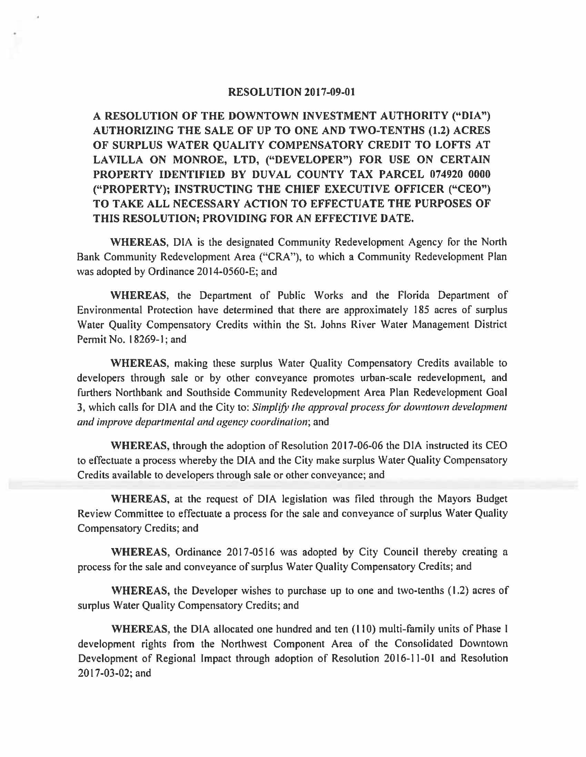## **RESOLUTION** 2017-09-01

**A RESOLUTION OF THE DOWNTOWN INVESTMENT AUTHORITY ("DIA") AUTHORIZING THE SALE OF UP TO ONE AND TWO-TENTHS (1.2) ACRES OF SURPLUS WATER QUALITY COMPENSATORY CREDIT TO LOFTS AT LA VILLA ON MONROE, LTD, ("DEVELOPER") FOR USE ON CERTAIN PROPERTY IDENTIFIED BY DUVAL COUNTY TAX PARCEL 074920 0000 ("PROPERTY); INSTRUCTING THE CHIEF EXECUTIVE OFFICER ("CEO") TO TAKE ALL NECESSARY ACTION TO EFFECTUATE THE PURPOSES OF THIS RESOLUTION; PROVIDING FOR AN EFFECTIVE DATE.** 

**WHEREAS,** DIA is the designated Community Redevelopment Agency for the North Bank Community Redevelopment Area ("CRA"), to which a Community Redevelopment Plan was adopted by Ordinance 2014-0560-E; and

**WHEREAS,** the Department of Public Works and the Florida Department of Environmental Protection have determined that there are approximately 185 acres of surplus Water Quality Compensatory Credits within the St. Johns River Water Management District Permit No. 18269-1; and

**WHEREAS,** making these surplus Water Quality Compensatory Credits available to developers through sale or by other conveyance promotes urban-scale redevelopment, and furthers Northbank and Southside Community Redevelopment Area Plan Redevelopment Goal 3, which calls for DIA and the City to: *Simplify Jhe approval process for dowmown development and improve departmental and agency coordination;* and

**WHEREAS,** through the adoption of Resolution 20 I 7-06-06 the DIA instructed its CEO to effectuate a process whereby the DIA and the City make surplus Water Quality Compensatory Credits available to developers through sale or other conveyance; and

**WHEREAS,** at the request of DIA legislation was filed through the Mayors Budget Review Committee to effectuate a process for the sale and conveyance of surplus Water Quality Compensatory Credits; and

**WHEREAS,** Ordinance 2017-0516 was adopted by City Council thereby creating a process for the sale and conveyance of surplus Water Quality Compensatory Credits; and

**WHEREAS,** the Developer wishes to purchase up to one and two-tenths ( 1.2) acres of surplus Water Quality Compensatory Credits; and

**WHEREAS,** the DIA allocated one hundred and ten (110) multi-family units of Phase I development rights from the Northwest Component Area of the Consolidated Downtown Development of Regional Impact through adoption of Resolution 2016-11-01 and Resolution 20 I 7-03-02; and